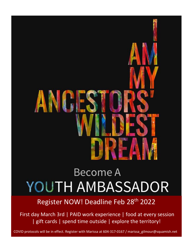# AV

# Become A **YOUTH AMBASSADOR**

Register NOW! Deadline Feb 28<sup>th</sup> 2022

First day March 3rd | PAID work experience | food at every session | gift cards | spend time outside | explore the territory!

COVID protocols will be in effect. Register with Marissa at 604-317-0167 / marissa\_gilmour@squamish.net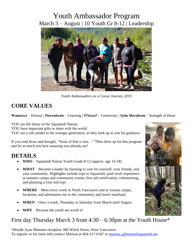# Youth Ambassador Program March 3 – August | 10 Youth Gr 8-12 | Leadership



*Youth Ambassadors on a Canoe Journey 2019*

# **CORE VALUES**

### **Wanaxws** – Honour | **Nexwniwen** – Learning | **S7ixwa7** – Generosity | **Iyim Skwalwen** – Strength of Heart

YOU are the future of the Squamish Nation.

YOU have important gifts to share with the world.

YOU are a role model to the younger generation, as they look up to you for guidance.

If you read those and thought, "None of that is true…" Then *show up* for this program and let us teach you how amazing you already are!

# **DETAILS**

- **WHO** Squamish Nation Youth Grade 8-12 (approx. age 14-18)
- **WHAT**  Become a leader by learning to care for yourself, your friends, and your community. Highlights include trips to Squamish, paid work experience at summer camps and community events, first aid certification, volunteering, and planning a year end trip!
- **WHERE**  Meet every week in North Vancouver and at various camps, locations, and adventures out in the community and lower mainland.
- **WHEN** Once a week, Thursday or Saturday from March until August.
- **WHY** Because the youth are worth it!

# First day Thursday March 3 from  $4:30 - 6:30$  pm at the Youth House\*

\*Beside Ayas Menmen reception 380 Welch Street, West Vancouver. To register or for more info contact Marissa at 604-317-0167 or marissa gilmour@squamish.net

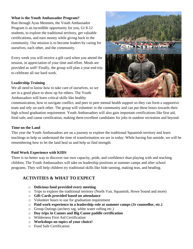### **What is the Youth Ambassador Program?**

Run through Ayas Menmen, the Youth Ambassador Program is an incredible opportunity for you, Gr 8-12 students, to explore the traditional territory, get valuable certifications, and earn money while giving back to the community. Our mission is to become leaders by caring for ourselves, each other, and the community.

Every week you will receive a gift card when you attend the session, in appreciation of your time and effort. Meals are provided as well! Finally, the group will plan a year end trip to celebrate all our hard work.

### **Leadership Training**

We all need to know how to take care of ourselves, so we are in a good place to show up for others. The Youth Ambassadors will learn critical skills like healthy



communication, how to navigate conflict, and peer to peer mental health support so they can form a supportive team and rely on each other. The group will volunteer in the community and can put these hours towards their high school graduation requirement. Youth Ambassadors will also gain important certifications like first aid, food safe, and canoe certification, making them excellent candidates for jobs in outdoor recreation and beyond.

### **Time on the Land**

This year the Youth Ambassadors are on a journey to explore the traditional Squamish territory and learn teachings to help us understand the time of transformation we are in today. While having fun outside, we will be remembering how to let the land heal us and help us find strength.

### **Paid Work Experience with KIDS**

There is no better way to discover our own capacity, pride, and confidence than playing with and teaching children. The Youth Ambassadors will take on leadership positions at summer camps and after school programs. They will help children try traditional skills like hide tanning, making teas, and beading.

### **ACTIVITIES & WHAT TO EXPECT**

- o **Delicious food provided every meeting**
- o Trips to explore the traditional territory (North Van, Squamish, Howe Sound and more)
- o **Gift Cards provided based on attendance**
- o Volunteer hours to use for graduation requirement
- o **Paid work experience in a leadership role at summer camps (Jr counsellor, etc.)**
- o Group Outings (archery tag, white water rafting etc.)
- o **Day trips in Canoes and Big Canoe paddle certification**
- o Wilderness First Aid Certification
- o **Workshops on topics of your choice!**
- o Food Safe Certification